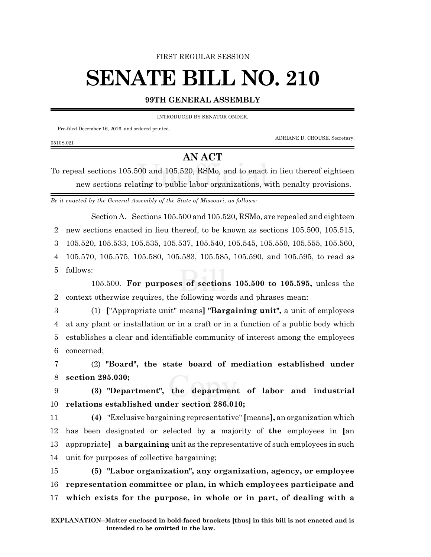FIRST REGULAR SESSION

## **SENATE BILL NO. 210**

## **99TH GENERAL ASSEMBLY**

INTRODUCED BY SENATOR ONDER.

Pre-filed December 16, 2016, and ordered printed.

0510S.02I

ADRIANE D. CROUSE, Secretary.

## **AN ACT**

To repeal sections 105.500 and 105.520, RSMo, and to enact in lieu thereof eighteen new sections relating to public labor organizations, with penalty provisions.

*Be it enacted by the General Assembly of the State of Missouri, as follows:*

Section A. Sections 105.500 and 105.520, RSMo, are repealed and eighteen 2 new sections enacted in lieu thereof, to be known as sections 105.500, 105.515, 3 105.520, 105.533, 105.535, 105.537, 105.540, 105.545, 105.550, 105.555, 105.560, 4 105.570, 105.575, 105.580, 105.583, 105.585, 105.590, and 105.595, to read as 5 follows:

105.500. **For purposes of sections 105.500 to 105.595,** unless the 2 context otherwise requires, the following words and phrases mean:

 (1) **[**"Appropriate unit" means**] "Bargaining unit",** a unit of employees at any plant or installation or in a craft or in a function of a public body which establishes a clear and identifiable community of interest among the employees concerned;

7 (2) **"Board", the state board of mediation established under** 8 **section 295.030;**

9 **(3) "Department", the department of labor and industrial** 10 **relations established under section 286.010;**

 **(4)** "Exclusive bargaining representative" **[**means**],** an organization which has been designated or selected by **a** majority of **the** employees in **[**an appropriate**] a bargaining** unit as the representative of such employees in such unit for purposes of collective bargaining;

15 **(5) "Labor organization", any organization, agency, or employee** 16 **representation committee or plan, in which employees participate and** 17 **which exists for the purpose, in whole or in part, of dealing with a**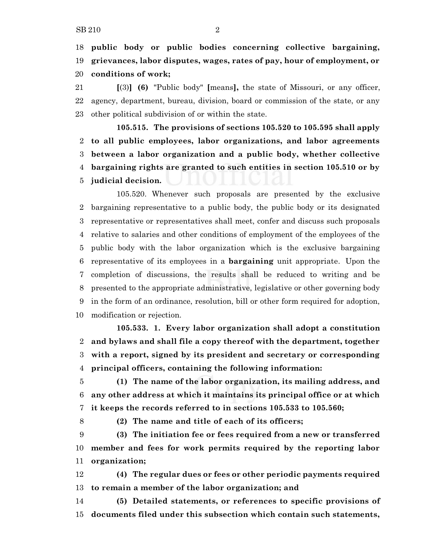**public body or public bodies concerning collective bargaining, grievances, labor disputes, wages, rates of pay, hour of employment, or conditions of work;**

 **[**(3)**] (6)** "Public body" **[**means**],** the state of Missouri, or any officer, agency, department, bureau, division, board or commission of the state, or any other political subdivision of or within the state.

**105.515. The provisions of sections 105.520 to 105.595 shall apply to all public employees, labor organizations, and labor agreements between a labor organization and a public body, whether collective bargaining rights are granted to such entities in section 105.510 or by judicial decision.**

105.520. Whenever such proposals are presented by the exclusive bargaining representative to a public body, the public body or its designated representative or representatives shall meet, confer and discuss such proposals relative to salaries and other conditions of employment of the employees of the public body with the labor organization which is the exclusive bargaining representative of its employees in a **bargaining** unit appropriate. Upon the completion of discussions, the results shall be reduced to writing and be presented to the appropriate administrative, legislative or other governing body in the form of an ordinance, resolution, bill or other form required for adoption, modification or rejection.

**105.533. 1. Every labor organization shall adopt a constitution and bylaws and shall file a copy thereof with the department, together with a report, signed by its president and secretary or corresponding principal officers, containing the following information:**

 **(1) The name of the labor organization, its mailing address, and any other address at which it maintains its principal office or at which it keeps the records referred to in sections 105.533 to 105.560;**

**(2) The name and title of each of its officers;**

 **(3) The initiation fee or fees required from a new or transferred member and fees for work permits required by the reporting labor organization;**

 **(4) The regular dues or fees or other periodic payments required to remain a member of the labor organization; and**

 **(5) Detailed statements, or references to specific provisions of documents filed under this subsection which contain such statements,**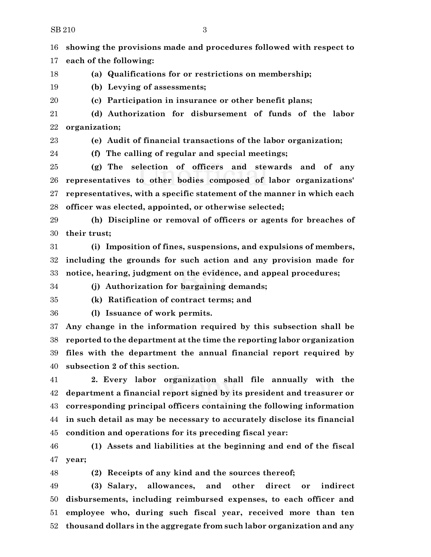**showing the provisions made and procedures followed with respect to each of the following:**

**(a) Qualifications for or restrictions on membership;**

**(b) Levying of assessments;**

**(c) Participation in insurance or other benefit plans;**

 **(d) Authorization for disbursement of funds of the labor organization;**

**(e) Audit of financial transactions of the labor organization;**

**(f) The calling of regular and special meetings;**

 **(g) The selection of officers and stewards and of any representatives to other bodies composed of labor organizations' representatives, with a specific statement of the manner in which each officer was elected, appointed, or otherwise selected;**

 **(h) Discipline or removal of officers or agents for breaches of their trust;**

 **(i) Imposition of fines, suspensions, and expulsions of members, including the grounds for such action and any provision made for notice, hearing, judgment on the evidence, and appeal procedures;**

**(j) Authorization for bargaining demands;**

**(k) Ratification of contract terms; and**

**(l) Issuance of work permits.**

 **Any change in the information required by this subsection shall be reported to the department at the time the reporting labor organization files with the department the annual financial report required by subsection 2 of this section.**

 **2. Every labor organization shall file annually with the department a financial report signed by its president and treasurer or corresponding principal officers containing the following information in such detail as may be necessary to accurately disclose its financial condition and operations for its preceding fiscal year:**

 **(1) Assets and liabilities at the beginning and end of the fiscal year;**

**(2) Receipts of any kind and the sources thereof;**

 **(3) Salary, allowances, and other direct or indirect disbursements, including reimbursed expenses, to each officer and employee who, during such fiscal year, received more than ten thousand dollars in the aggregate from such labor organization and any**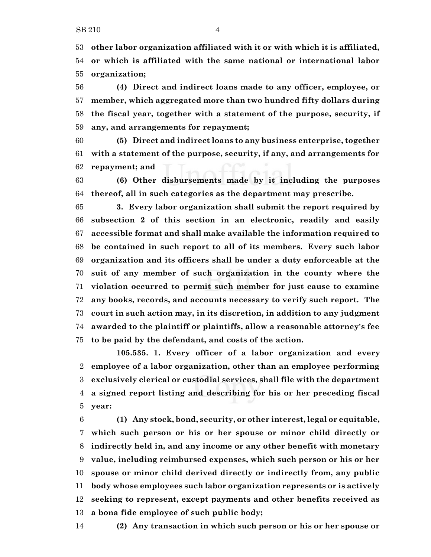**other labor organization affiliated with it or with which it is affiliated, or which is affiliated with the same national or international labor organization;**

 **(4) Direct and indirect loans made to any officer, employee, or member, which aggregated more than two hundred fifty dollars during the fiscal year, together with a statement of the purpose, security, if any, and arrangements for repayment;**

 **(5) Direct and indirect loans to any business enterprise, together with a statement of the purpose, security, if any, and arrangements for repayment; and**

 **(6) Other disbursements made by it including the purposes thereof, all in such categories as the department may prescribe.**

 **3. Every labor organization shall submit the report required by subsection 2 of this section in an electronic, readily and easily accessible format and shall make available the information required to be contained in such report to all of its members. Every such labor organization and its officers shall be under a duty enforceable at the suit of any member of such organization in the county where the violation occurred to permit such member for just cause to examine any books, records, and accounts necessary to verify such report. The court in such action may, in its discretion, in addition to any judgment awarded to the plaintiff or plaintiffs, allow a reasonable attorney's fee to be paid by the defendant, and costs of the action.**

**105.535. 1. Every officer of a labor organization and every employee of a labor organization, other than an employee performing exclusively clerical or custodial services, shall file with the department a signed report listing and describing for his or her preceding fiscal year:**

 **(1) Any stock, bond, security, or other interest, legal or equitable, which such person or his or her spouse or minor child directly or indirectly held in, and any income or any other benefit with monetary value, including reimbursed expenses, which such person or his or her spouse or minor child derived directly or indirectly from, any public body whose employees such labor organization represents or is actively seeking to represent, except payments and other benefits received as a bona fide employee of such public body;**

**(2) Any transaction in which such person or his or her spouse or**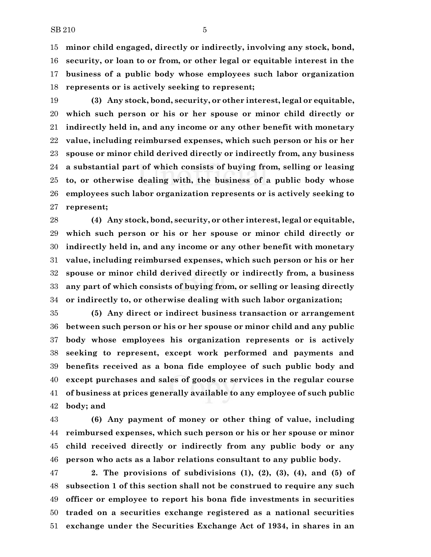**minor child engaged, directly or indirectly, involving any stock, bond, security, or loan to or from, or other legal or equitable interest in the business of a public body whose employees such labor organization represents or is actively seeking to represent;**

 **(3) Any stock, bond, security, or other interest, legal or equitable, which such person or his or her spouse or minor child directly or indirectly held in, and any income or any other benefit with monetary value, including reimbursed expenses, which such person or his or her spouse or minor child derived directly or indirectly from, any business a substantial part of which consists of buying from, selling or leasing to, or otherwise dealing with, the business of a public body whose employees such labor organization represents or is actively seeking to represent;**

 **(4) Any stock, bond, security, or other interest, legal or equitable, which such person or his or her spouse or minor child directly or indirectly held in, and any income or any other benefit with monetary value, including reimbursed expenses, which such person or his or her spouse or minor child derived directly or indirectly from, a business any part of which consists of buying from, or selling or leasing directly or indirectly to, or otherwise dealing with such labor organization;**

 **(5) Any direct or indirect business transaction or arrangement between such person or his or her spouse or minor child and any public body whose employees his organization represents or is actively seeking to represent, except work performed and payments and benefits received as a bona fide employee of such public body and except purchases and sales of goods or services in the regular course of business at prices generally available to any employee of such public body; and**

 **(6) Any payment of money or other thing of value, including reimbursed expenses, which such person or his or her spouse or minor child received directly or indirectly from any public body or any person who acts as a labor relations consultant to any public body.**

 **2. The provisions of subdivisions (1), (2), (3), (4), and (5) of subsection 1 of this section shall not be construed to require any such officer or employee to report his bona fide investments in securities traded on a securities exchange registered as a national securities exchange under the Securities Exchange Act of 1934, in shares in an**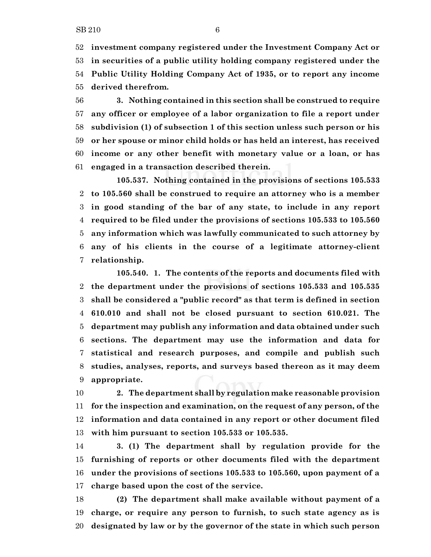**investment company registered under the Investment Company Act or in securities of a public utility holding company registered under the Public Utility Holding Company Act of 1935, or to report any income derived therefrom.**

 **3. Nothing contained in this section shall be construed to require any officer or employee of a labor organization to file a report under subdivision (1) of subsection 1 of this section unless such person or his or her spouse or minor child holds or has held an interest, has received income or any other benefit with monetary value or a loan, or has engaged in a transaction described therein.**

**105.537. Nothing contained in the provisions of sections 105.533 to 105.560 shall be construed to require an attorney who is a member in good standing of the bar of any state, to include in any report required to be filed under the provisions of sections 105.533 to 105.560 any information which was lawfully communicated to such attorney by any of his clients in the course of a legitimate attorney-client relationship.**

**105.540. 1. The contents of the reports and documents filed with the department under the provisions of sections 105.533 and 105.535 shall be considered a "public record" as that term is defined in section 610.010 and shall not be closed pursuant to section 610.021. The department may publish any information and data obtained under such sections. The department may use the information and data for statistical and research purposes, and compile and publish such studies, analyses, reports, and surveys based thereon as it may deem appropriate.**

 **2. The department shall by regulation make reasonable provision for the inspection and examination, on the request of any person, of the information and data contained in any report or other document filed with him pursuant to section 105.533 or 105.535.**

 **3. (1) The department shall by regulation provide for the furnishing of reports or other documents filed with the department under the provisions of sections 105.533 to 105.560, upon payment of a charge based upon the cost of the service.**

 **(2) The department shall make available without payment of a charge, or require any person to furnish, to such state agency as is designated by law or by the governor of the state in which such person**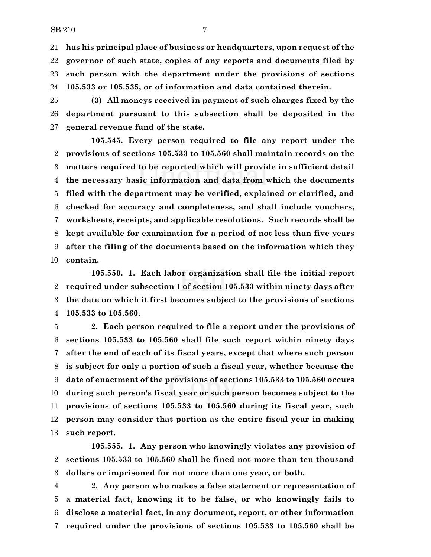**has his principal place of business or headquarters, upon request of the governor of such state, copies of any reports and documents filed by such person with the department under the provisions of sections 105.533 or 105.535, or of information and data contained therein.**

 **(3) All moneys received in payment of such charges fixed by the department pursuant to this subsection shall be deposited in the general revenue fund of the state.**

**105.545. Every person required to file any report under the provisions of sections 105.533 to 105.560 shall maintain records on the matters required to be reported which will provide in sufficient detail the necessary basic information and data from which the documents filed with the department may be verified, explained or clarified, and checked for accuracy and completeness, and shall include vouchers, worksheets, receipts, and applicable resolutions. Such records shall be kept available for examination for a period of not less than five years after the filing of the documents based on the information which they contain.**

**105.550. 1. Each labor organization shall file the initial report required under subsection 1 of section 105.533 within ninety days after the date on which it first becomes subject to the provisions of sections 105.533 to 105.560.**

 **2. Each person required to file a report under the provisions of sections 105.533 to 105.560 shall file such report within ninety days after the end of each of its fiscal years, except that where such person is subject for only a portion of such a fiscal year, whether because the date of enactment of the provisions of sections 105.533 to 105.560 occurs during such person's fiscal year or such person becomes subject to the provisions of sections 105.533 to 105.560 during its fiscal year, such person may consider that portion as the entire fiscal year in making such report.**

**105.555. 1. Any person who knowingly violates any provision of sections 105.533 to 105.560 shall be fined not more than ten thousand dollars or imprisoned for not more than one year, or both.**

 **2. Any person who makes a false statement or representation of a material fact, knowing it to be false, or who knowingly fails to disclose a material fact, in any document, report, or other information required under the provisions of sections 105.533 to 105.560 shall be**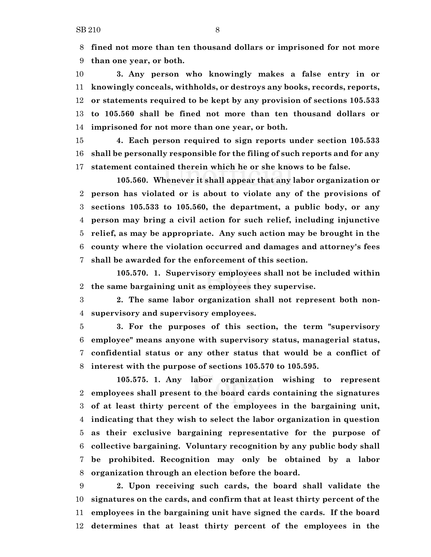**fined not more than ten thousand dollars or imprisoned for not more than one year, or both.**

 **3. Any person who knowingly makes a false entry in or knowingly conceals, withholds, or destroys any books, records, reports, or statements required to be kept by any provision of sections 105.533 to 105.560 shall be fined not more than ten thousand dollars or imprisoned for not more than one year, or both.**

 **4. Each person required to sign reports under section 105.533 shall be personally responsible for the filing of such reports and for any statement contained therein which he or she knows to be false.**

**105.560. Whenever it shall appear that any labor organization or person has violated or is about to violate any of the provisions of sections 105.533 to 105.560, the department, a public body, or any person may bring a civil action for such relief, including injunctive relief, as may be appropriate. Any such action may be brought in the county where the violation occurred and damages and attorney's fees shall be awarded for the enforcement of this section.**

**105.570. 1. Supervisory employees shall not be included within the same bargaining unit as employees they supervise.**

 **2. The same labor organization shall not represent both non-supervisory and supervisory employees.**

 **3. For the purposes of this section, the term "supervisory employee" means anyone with supervisory status, managerial status, confidential status or any other status that would be a conflict of interest with the purpose of sections 105.570 to 105.595.**

**105.575. 1. Any labor organization wishing to represent employees shall present to the board cards containing the signatures of at least thirty percent of the employees in the bargaining unit, indicating that they wish to select the labor organization in question as their exclusive bargaining representative for the purpose of collective bargaining. Voluntary recognition by any public body shall be prohibited. Recognition may only be obtained by a labor organization through an election before the board.**

 **2. Upon receiving such cards, the board shall validate the signatures on the cards, and confirm that at least thirty percent of the employees in the bargaining unit have signed the cards. If the board determines that at least thirty percent of the employees in the**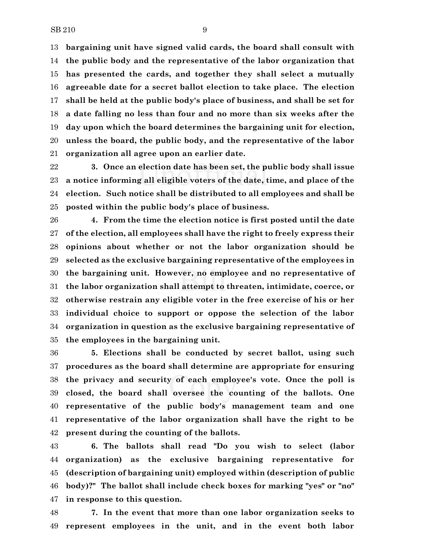**bargaining unit have signed valid cards, the board shall consult with the public body and the representative of the labor organization that has presented the cards, and together they shall select a mutually agreeable date for a secret ballot election to take place. The election shall be held at the public body's place of business, and shall be set for a date falling no less than four and no more than six weeks after the day upon which the board determines the bargaining unit for election, unless the board, the public body, and the representative of the labor organization all agree upon an earlier date.**

 **3. Once an election date has been set, the public body shall issue a notice informing all eligible voters of the date, time, and place of the election. Such notice shall be distributed to all employees and shall be posted within the public body's place of business.**

 **4. From the time the election notice is first posted until the date of the election, all employees shall have the right to freely express their opinions about whether or not the labor organization should be selected as the exclusive bargaining representative of the employees in the bargaining unit. However, no employee and no representative of the labor organization shall attempt to threaten, intimidate, coerce, or otherwise restrain any eligible voter in the free exercise of his or her individual choice to support or oppose the selection of the labor organization in question as the exclusive bargaining representative of the employees in the bargaining unit.**

 **5. Elections shall be conducted by secret ballot, using such procedures as the board shall determine are appropriate for ensuring the privacy and security of each employee's vote. Once the poll is closed, the board shall oversee the counting of the ballots. One representative of the public body's management team and one representative of the labor organization shall have the right to be present during the counting of the ballots.**

 **6. The ballots shall read "Do you wish to select (labor organization) as the exclusive bargaining representative for (description of bargaining unit) employed within (description of public body)?" The ballot shall include check boxes for marking "yes" or "no" in response to this question.**

 **7. In the event that more than one labor organization seeks to represent employees in the unit, and in the event both labor**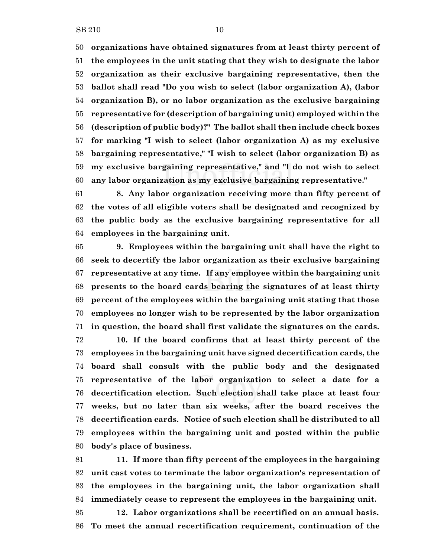**organizations have obtained signatures from at least thirty percent of the employees in the unit stating that they wish to designate the labor organization as their exclusive bargaining representative, then the ballot shall read "Do you wish to select (labor organization A), (labor organization B), or no labor organization as the exclusive bargaining representative for (description of bargaining unit) employed within the (description of public body)?" The ballot shall then include check boxes for marking "I wish to select (labor organization A) as my exclusive bargaining representative," "I wish to select (labor organization B) as my exclusive bargaining representative," and "I do not wish to select any labor organization as my exclusive bargaining representative."**

 **8. Any labor organization receiving more than fifty percent of the votes of all eligible voters shall be designated and recognized by the public body as the exclusive bargaining representative for all employees in the bargaining unit.**

 **9. Employees within the bargaining unit shall have the right to seek to decertify the labor organization as their exclusive bargaining representative at any time. If any employee within the bargaining unit presents to the board cards bearing the signatures of at least thirty percent of the employees within the bargaining unit stating that those employees no longer wish to be represented by the labor organization in question, the board shall first validate the signatures on the cards.**

 **10. If the board confirms that at least thirty percent of the employees in the bargaining unit have signed decertification cards, the board shall consult with the public body and the designated representative of the labor organization to select a date for a decertification election. Such election shall take place at least four weeks, but no later than six weeks, after the board receives the decertification cards. Notice of such election shall be distributed to all employees within the bargaining unit and posted within the public body's place of business.**

 **11. If more than fifty percent of the employees in the bargaining unit cast votes to terminate the labor organization's representation of the employees in the bargaining unit, the labor organization shall immediately cease to represent the employees in the bargaining unit.**

 **12. Labor organizations shall be recertified on an annual basis. To meet the annual recertification requirement, continuation of the**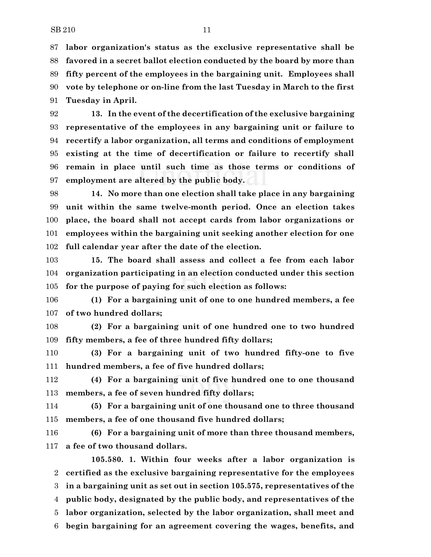**labor organization's status as the exclusive representative shall be favored in a secret ballot election conducted by the board by more than fifty percent of the employees in the bargaining unit. Employees shall vote by telephone or on-line from the last Tuesday in March to the first Tuesday in April.**

 **13. In the event of the decertification of the exclusive bargaining representative of the employees in any bargaining unit or failure to recertify a labor organization, all terms and conditions of employment existing at the time of decertification or failure to recertify shall remain in place until such time as those terms or conditions of employment are altered by the public body.**

 **14. No more than one election shall take place in any bargaining unit within the same twelve-month period. Once an election takes place, the board shall not accept cards from labor organizations or employees within the bargaining unit seeking another election for one full calendar year after the date of the election.**

 **15. The board shall assess and collect a fee from each labor organization participating in an election conducted under this section for the purpose of paying for such election as follows:**

 **(1) For a bargaining unit of one to one hundred members, a fee of two hundred dollars;**

 **(2) For a bargaining unit of one hundred one to two hundred fifty members, a fee of three hundred fifty dollars;**

 **(3) For a bargaining unit of two hundred fifty-one to five hundred members, a fee of five hundred dollars;**

 **(4) For a bargaining unit of five hundred one to one thousand members, a fee of seven hundred fifty dollars;**

 **(5) For a bargaining unit of one thousand one to three thousand members, a fee of one thousand five hundred dollars;**

 **(6) For a bargaining unit of more than three thousand members, a fee of two thousand dollars.**

**105.580. 1. Within four weeks after a labor organization is certified as the exclusive bargaining representative for the employees in a bargaining unit as set out in section 105.575, representatives of the public body, designated by the public body, and representatives of the labor organization, selected by the labor organization, shall meet and begin bargaining for an agreement covering the wages, benefits, and**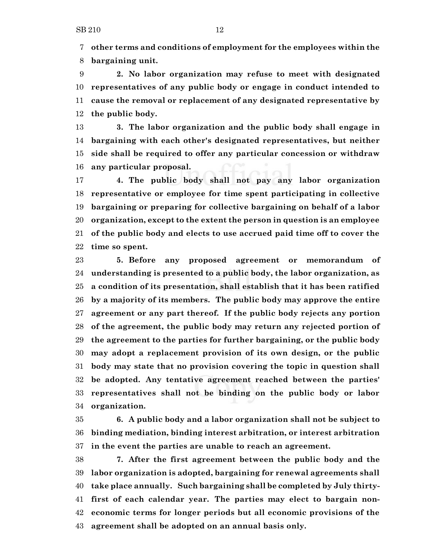**other terms and conditions of employment for the employees within the bargaining unit.**

 **2. No labor organization may refuse to meet with designated representatives of any public body or engage in conduct intended to cause the removal or replacement of any designated representative by the public body.**

 **3. The labor organization and the public body shall engage in bargaining with each other's designated representatives, but neither side shall be required to offer any particular concession or withdraw any particular proposal.**

 **4. The public body shall not pay any labor organization representative or employee for time spent participating in collective bargaining or preparing for collective bargaining on behalf of a labor organization, except to the extent the person in question is an employee of the public body and elects to use accrued paid time off to cover the time so spent.**

 **5. Before any proposed agreement or memorandum of understanding is presented to a public body, the labor organization, as a condition of its presentation, shall establish that it has been ratified by a majority of its members. The public body may approve the entire agreement or any part thereof. If the public body rejects any portion of the agreement, the public body may return any rejected portion of the agreement to the parties for further bargaining, or the public body may adopt a replacement provision of its own design, or the public body may state that no provision covering the topic in question shall be adopted. Any tentative agreement reached between the parties' representatives shall not be binding on the public body or labor organization.**

 **6. A public body and a labor organization shall not be subject to binding mediation, binding interest arbitration, or interest arbitration in the event the parties are unable to reach an agreement.**

 **7. After the first agreement between the public body and the labor organization is adopted, bargaining for renewal agreements shall take place annually. Such bargaining shall be completed by July thirty- first of each calendar year. The parties may elect to bargain non- economic terms for longer periods but all economic provisions of the agreement shall be adopted on an annual basis only.**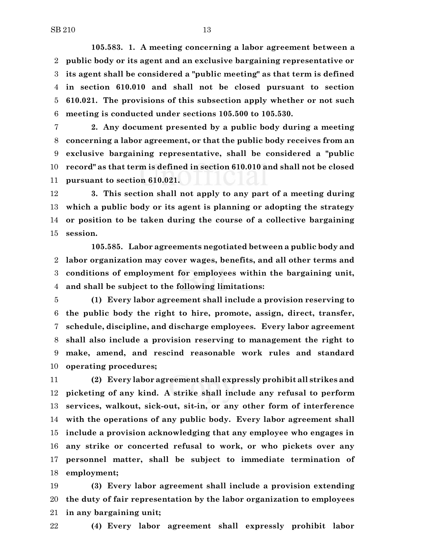**105.583. 1. A meeting concerning a labor agreement between a public body or its agent and an exclusive bargaining representative or its agent shall be considered a "public meeting" as that term is defined in section 610.010 and shall not be closed pursuant to section 610.021. The provisions of this subsection apply whether or not such meeting is conducted under sections 105.500 to 105.530.**

 **2. Any document presented by a public body during a meeting concerning a labor agreement, or that the public body receives from an exclusive bargaining representative, shall be considered a "public record" as that term is defined in section 610.010 and shall not be closed pursuant to section 610.021.**

 **3. This section shall not apply to any part of a meeting during which a public body or its agent is planning or adopting the strategy or position to be taken during the course of a collective bargaining session.**

**105.585. Labor agreements negotiated between a public body and labor organization may cover wages, benefits, and all other terms and conditions of employment for employees within the bargaining unit, and shall be subject to the following limitations:**

 **(1) Every labor agreement shall include a provision reserving to the public body the right to hire, promote, assign, direct, transfer, schedule, discipline, and discharge employees. Every labor agreement shall also include a provision reserving to management the right to make, amend, and rescind reasonable work rules and standard operating procedures;**

 **(2) Every labor agreement shall expressly prohibit all strikes and picketing of any kind. A strike shall include any refusal to perform services, walkout, sick-out, sit-in, or any other form of interference with the operations of any public body. Every labor agreement shall include a provision acknowledging that any employee who engages in any strike or concerted refusal to work, or who pickets over any personnel matter, shall be subject to immediate termination of employment;**

 **(3) Every labor agreement shall include a provision extending the duty of fair representation by the labor organization to employees in any bargaining unit;**

**(4) Every labor agreement shall expressly prohibit labor**